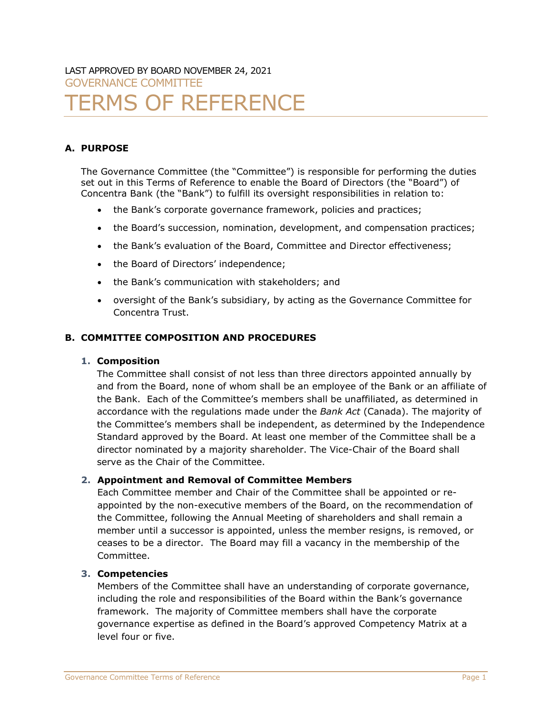# LAST APPROVED BY BOARD NOVEMBER 24, 2021 GOVERNANCE COMMITTEE

# **ERMS OF REFERENCE**

# **A. PURPOSE**

The Governance Committee (the "Committee") is responsible for performing the duties set out in this Terms of Reference to enable the Board of Directors (the "Board") of Concentra Bank (the "Bank") to fulfill its oversight responsibilities in relation to:

- the Bank's corporate governance framework, policies and practices;
- the Board's succession, nomination, development, and compensation practices;
- the Bank's evaluation of the Board, Committee and Director effectiveness;
- the Board of Directors' independence;
- the Bank's communication with stakeholders; and
- oversight of the Bank's subsidiary, by acting as the Governance Committee for Concentra Trust.

# **B. COMMITTEE COMPOSITION AND PROCEDURES**

# **1. Composition**

The Committee shall consist of not less than three directors appointed annually by and from the Board, none of whom shall be an employee of the Bank or an affiliate of the Bank. Each of the Committee's members shall be unaffiliated, as determined in accordance with the regulations made under the *Bank Act* (Canada). The majority of the Committee's members shall be independent, as determined by the Independence Standard approved by the Board. At least one member of the Committee shall be a director nominated by a majority shareholder. The Vice-Chair of the Board shall serve as the Chair of the Committee.

# **2. Appointment and Removal of Committee Members**

Each Committee member and Chair of the Committee shall be appointed or reappointed by the non-executive members of the Board, on the recommendation of the Committee, following the Annual Meeting of shareholders and shall remain a member until a successor is appointed, unless the member resigns, is removed, or ceases to be a director. The Board may fill a vacancy in the membership of the Committee.

# **3. Competencies**

Members of the Committee shall have an understanding of corporate governance, including the role and responsibilities of the Board within the Bank's governance framework. The majority of Committee members shall have the corporate governance expertise as defined in the Board's approved Competency Matrix at a level four or five.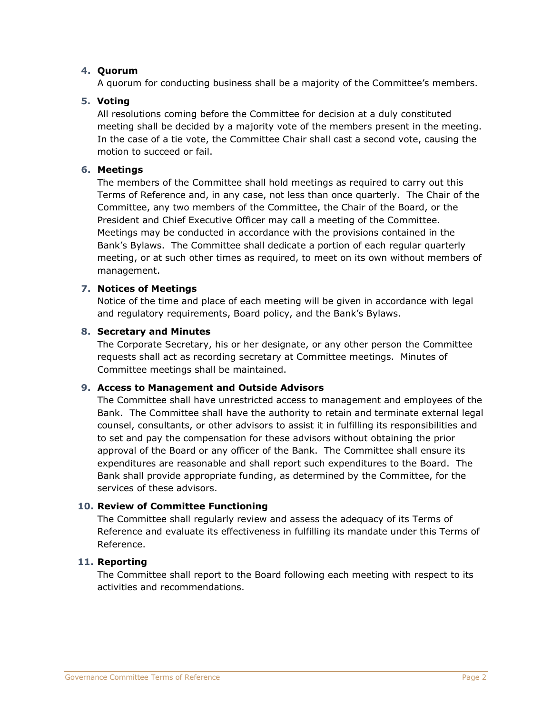# **4. Quorum**

A quorum for conducting business shall be a majority of the Committee's members.

# **5. Voting**

All resolutions coming before the Committee for decision at a duly constituted meeting shall be decided by a majority vote of the members present in the meeting. In the case of a tie vote, the Committee Chair shall cast a second vote, causing the motion to succeed or fail.

#### **6. Meetings**

The members of the Committee shall hold meetings as required to carry out this Terms of Reference and, in any case, not less than once quarterly. The Chair of the Committee, any two members of the Committee, the Chair of the Board, or the President and Chief Executive Officer may call a meeting of the Committee. Meetings may be conducted in accordance with the provisions contained in the Bank's Bylaws. The Committee shall dedicate a portion of each regular quarterly meeting, or at such other times as required, to meet on its own without members of management.

#### **7. Notices of Meetings**

Notice of the time and place of each meeting will be given in accordance with legal and regulatory requirements, Board policy, and the Bank's Bylaws.

#### **8. Secretary and Minutes**

The Corporate Secretary, his or her designate, or any other person the Committee requests shall act as recording secretary at Committee meetings. Minutes of Committee meetings shall be maintained.

#### **9. Access to Management and Outside Advisors**

The Committee shall have unrestricted access to management and employees of the Bank. The Committee shall have the authority to retain and terminate external legal counsel, consultants, or other advisors to assist it in fulfilling its responsibilities and to set and pay the compensation for these advisors without obtaining the prior approval of the Board or any officer of the Bank. The Committee shall ensure its expenditures are reasonable and shall report such expenditures to the Board. The Bank shall provide appropriate funding, as determined by the Committee, for the services of these advisors.

#### **10. Review of Committee Functioning**

The Committee shall regularly review and assess the adequacy of its Terms of Reference and evaluate its effectiveness in fulfilling its mandate under this Terms of Reference.

#### **11. Reporting**

The Committee shall report to the Board following each meeting with respect to its activities and recommendations.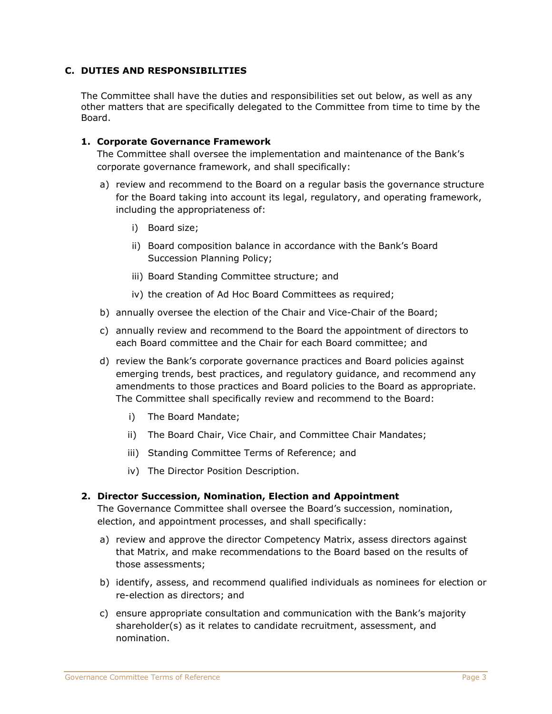#### **C. DUTIES AND RESPONSIBILITIES**

The Committee shall have the duties and responsibilities set out below, as well as any other matters that are specifically delegated to the Committee from time to time by the Board.

#### **1. Corporate Governance Framework**

The Committee shall oversee the implementation and maintenance of the Bank's corporate governance framework, and shall specifically:

- a) review and recommend to the Board on a regular basis the governance structure for the Board taking into account its legal, regulatory, and operating framework, including the appropriateness of:
	- i) Board size;
	- ii) Board composition balance in accordance with the Bank's Board Succession Planning Policy;
	- iii) Board Standing Committee structure; and
	- iv) the creation of Ad Hoc Board Committees as required;
- b) annually oversee the election of the Chair and Vice-Chair of the Board;
- c) annually review and recommend to the Board the appointment of directors to each Board committee and the Chair for each Board committee; and
- d) review the Bank's corporate governance practices and Board policies against emerging trends, best practices, and regulatory guidance, and recommend any amendments to those practices and Board policies to the Board as appropriate. The Committee shall specifically review and recommend to the Board:
	- i) The Board Mandate;
	- ii) The Board Chair, Vice Chair, and Committee Chair Mandates;
	- iii) Standing Committee Terms of Reference; and
	- iv) The Director Position Description.

#### **2. Director Succession, Nomination, Election and Appointment**

The Governance Committee shall oversee the Board's succession, nomination, election, and appointment processes, and shall specifically:

- a) review and approve the director Competency Matrix, assess directors against that Matrix, and make recommendations to the Board based on the results of those assessments;
- b) identify, assess, and recommend qualified individuals as nominees for election or re-election as directors; and
- c) ensure appropriate consultation and communication with the Bank's majority shareholder(s) as it relates to candidate recruitment, assessment, and nomination.